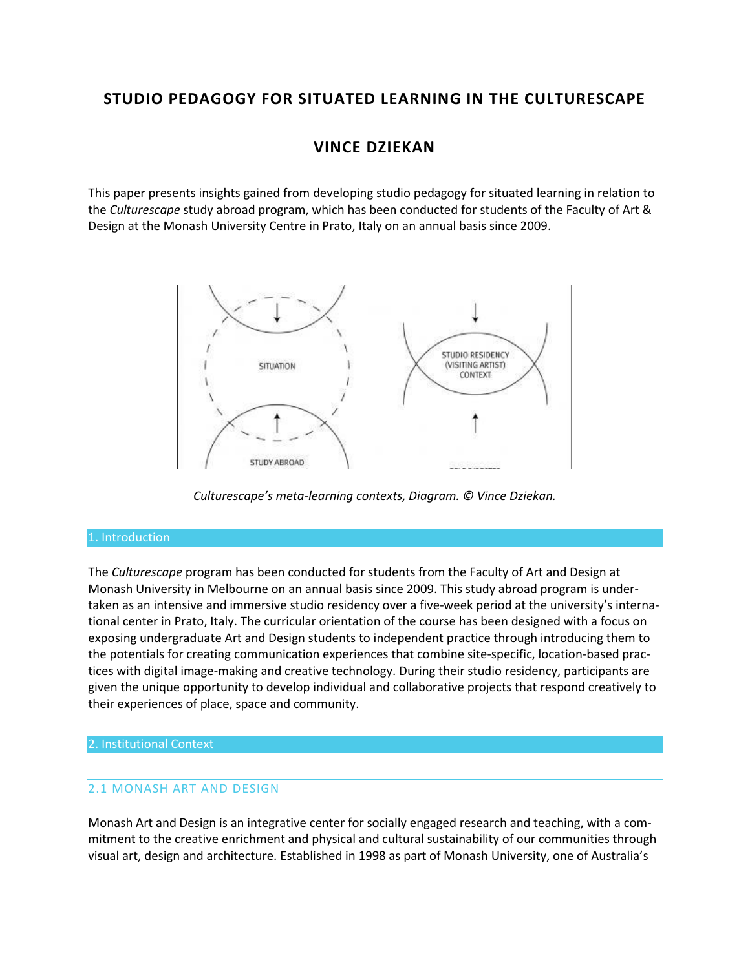# **STUDIO PEDAGOGY FOR SITUATED LEARNING IN THE CULTURESCAPE**

# **VINCE DZIEKAN**

This paper presents insights gained from developing studio pedagogy for situated learning in relation to the *Culturescape* study abroad program, which has been conducted for students of the Faculty of Art & Design at the Monash University Centre in Prato, Italy on an annual basis since 2009.



*Culturescape's meta-learning contexts, Diagram. © Vince Dziekan.*

#### 1. Introduction

The *Culturescape* program has been conducted for students from the Faculty of Art and Design at Monash University in Melbourne on an annual basis since 2009. This study abroad program is undertaken as an intensive and immersive studio residency over a five-week period at the university's international center in Prato, Italy. The curricular orientation of the course has been designed with a focus on exposing undergraduate Art and Design students to independent practice through introducing them to the potentials for creating communication experiences that combine site-specific, location-based practices with digital image-making and creative technology. During their studio residency, participants are given the unique opportunity to develop individual and collaborative projects that respond creatively to their experiences of place, space and community.

#### 2. Institutional Context

## 2.1 MONASH ART AND DESIGN

Monash Art and Design is an integrative center for socially engaged research and teaching, with a commitment to the creative enrichment and physical and cultural sustainability of our communities through visual art, design and architecture. Established in 1998 as part of Monash University, one of Australia's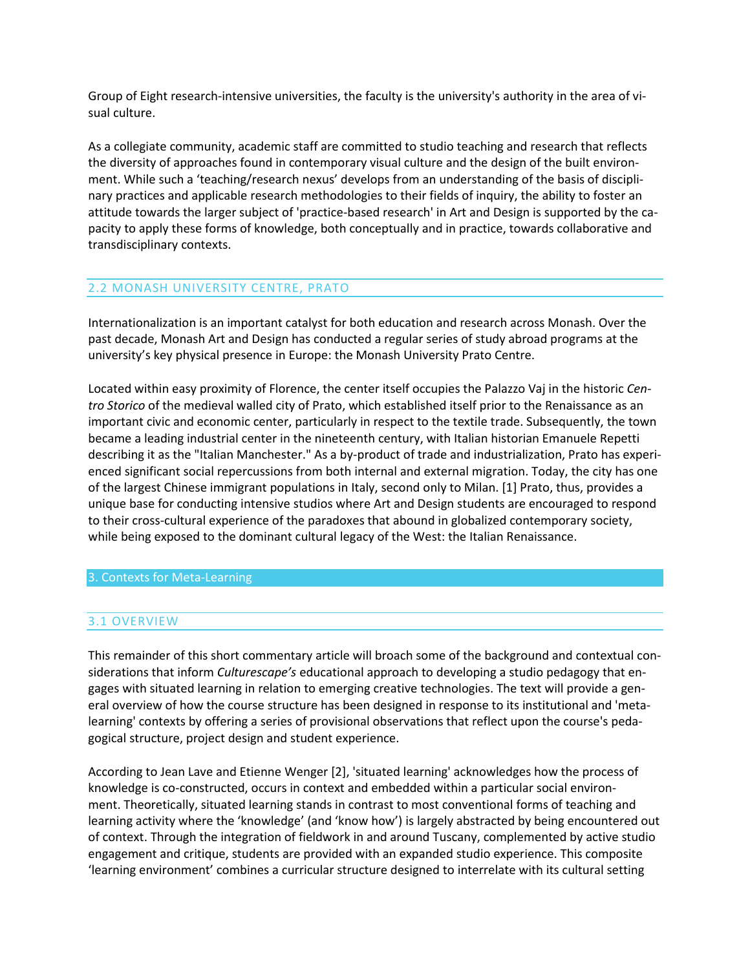Group of Eight research-intensive universities, the faculty is the university's authority in the area of visual culture.

As a collegiate community, academic staff are committed to studio teaching and research that reflects the diversity of approaches found in contemporary visual culture and the design of the built environment. While such a 'teaching/research nexus' develops from an understanding of the basis of disciplinary practices and applicable research methodologies to their fields of inquiry, the ability to foster an attitude towards the larger subject of 'practice-based research' in Art and Design is supported by the capacity to apply these forms of knowledge, both conceptually and in practice, towards collaborative and transdisciplinary contexts.

## 2.2 MONASH UNIVERSITY CENTRE, PRATO

Internationalization is an important catalyst for both education and research across Monash. Over the past decade, Monash Art and Design has conducted a regular series of study abroad programs at the university's key physical presence in Europe: the Monash University Prato Centre.

Located within easy proximity of Florence, the center itself occupies the Palazzo Vaj in the historic *Centro Storico* of the medieval walled city of Prato, which established itself prior to the Renaissance as an important civic and economic center, particularly in respect to the textile trade. Subsequently, the town became a leading industrial center in the nineteenth century, with Italian historian Emanuele Repetti describing it as the "Italian Manchester." As a by-product of trade and industrialization, Prato has experienced significant social repercussions from both internal and external migration. Today, the city has one of the largest Chinese immigrant populations in Italy, second only to Milan. [1] Prato, thus, provides a unique base for conducting intensive studios where Art and Design students are encouraged to respond to their cross-cultural experience of the paradoxes that abound in globalized contemporary society, while being exposed to the dominant cultural legacy of the West: the Italian Renaissance.

#### 3. Contexts for Meta-Learning

## 3.1 OVERVIEW

This remainder of this short commentary article will broach some of the background and contextual considerations that inform *Culturescape's* educational approach to developing a studio pedagogy that engages with situated learning in relation to emerging creative technologies. The text will provide a general overview of how the course structure has been designed in response to its institutional and 'metalearning' contexts by offering a series of provisional observations that reflect upon the course's pedagogical structure, project design and student experience.

According to Jean Lave and Etienne Wenger [2], 'situated learning' acknowledges how the process of knowledge is co-constructed, occurs in context and embedded within a particular social environment. Theoretically, situated learning stands in contrast to most conventional forms of teaching and learning activity where the 'knowledge' (and 'know how') is largely abstracted by being encountered out of context. Through the integration of fieldwork in and around Tuscany, complemented by active studio engagement and critique, students are provided with an expanded studio experience. This composite 'learning environment' combines a curricular structure designed to interrelate with its cultural setting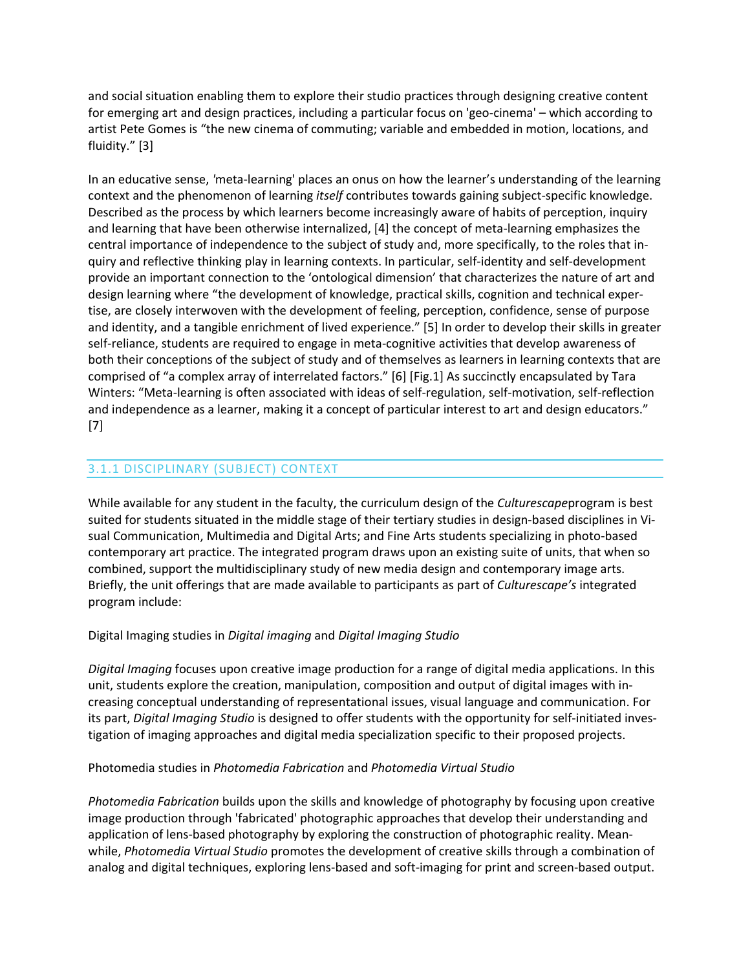and social situation enabling them to explore their studio practices through designing creative content for emerging art and design practices, including a particular focus on 'geo-cinema' – which according to artist Pete Gomes is "the new cinema of commuting; variable and embedded in motion, locations, and fluidity." [3]

In an educative sense, *'*meta-learning' places an onus on how the learner's understanding of the learning context and the phenomenon of learning *itself* contributes towards gaining subject-specific knowledge. Described as the process by which learners become increasingly aware of habits of perception, inquiry and learning that have been otherwise internalized, [4] the concept of meta-learning emphasizes the central importance of independence to the subject of study and, more specifically, to the roles that inquiry and reflective thinking play in learning contexts. In particular, self-identity and self-development provide an important connection to the 'ontological dimension' that characterizes the nature of art and design learning where "the development of knowledge, practical skills, cognition and technical expertise, are closely interwoven with the development of feeling, perception, confidence, sense of purpose and identity, and a tangible enrichment of lived experience." [5] In order to develop their skills in greater self-reliance, students are required to engage in meta-cognitive activities that develop awareness of both their conceptions of the subject of study and of themselves as learners in learning contexts that are comprised of "a complex array of interrelated factors." [6] [Fig.1] As succinctly encapsulated by Tara Winters: "Meta-learning is often associated with ideas of self-regulation, self-motivation, self-reflection and independence as a learner, making it a concept of particular interest to art and design educators." [7]

# 3.1.1 DISCIPLINARY (SUBJECT) CONTEXT

While available for any student in the faculty, the curriculum design of the *Culturescape*program is best suited for students situated in the middle stage of their tertiary studies in design-based disciplines in Visual Communication, Multimedia and Digital Arts; and Fine Arts students specializing in photo-based contemporary art practice. The integrated program draws upon an existing suite of units, that when so combined, support the multidisciplinary study of new media design and contemporary image arts. Briefly, the unit offerings that are made available to participants as part of *Culturescape's* integrated program include:

## Digital Imaging studies in *Digital imaging* and *Digital Imaging Studio*

*Digital Imaging* focuses upon creative image production for a range of digital media applications. In this unit, students explore the creation, manipulation, composition and output of digital images with increasing conceptual understanding of representational issues, visual language and communication. For its part, *Digital Imaging Studio* is designed to offer students with the opportunity for self-initiated investigation of imaging approaches and digital media specialization specific to their proposed projects.

#### Photomedia studies in *Photomedia Fabrication* and *Photomedia Virtual Studio*

*Photomedia Fabrication* builds upon the skills and knowledge of photography by focusing upon creative image production through 'fabricated' photographic approaches that develop their understanding and application of lens-based photography by exploring the construction of photographic reality. Meanwhile, *Photomedia Virtual Studio* promotes the development of creative skills through a combination of analog and digital techniques, exploring lens-based and soft-imaging for print and screen-based output.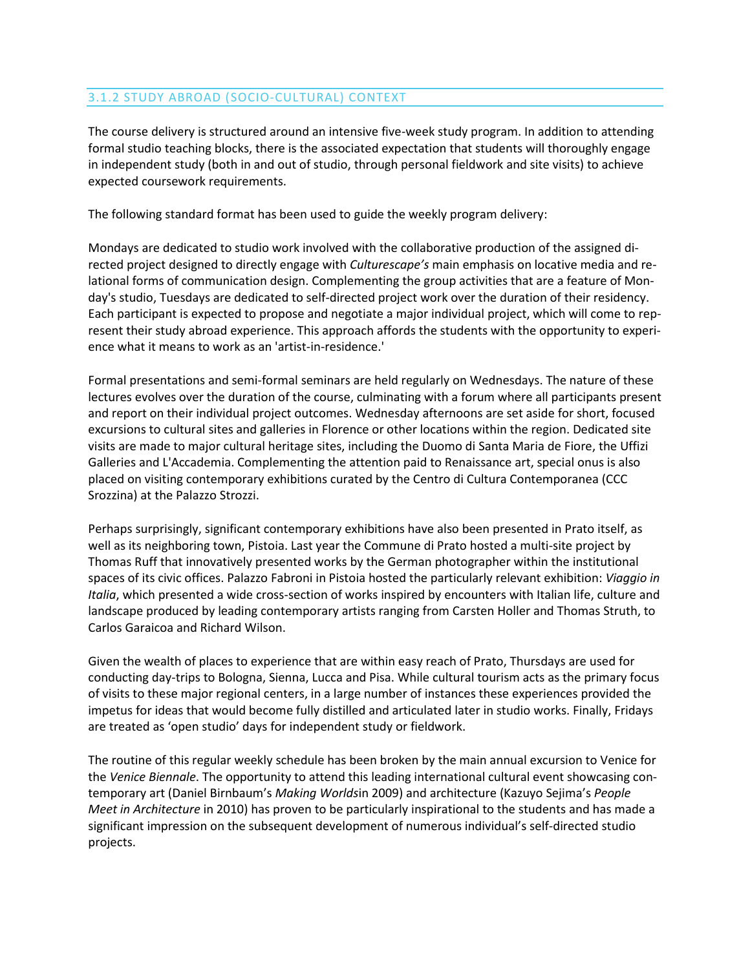# 3.1.2 STUDY ABROAD (SOCIO-CULTURAL) CONTEXT

The course delivery is structured around an intensive five-week study program. In addition to attending formal studio teaching blocks, there is the associated expectation that students will thoroughly engage in independent study (both in and out of studio, through personal fieldwork and site visits) to achieve expected coursework requirements.

The following standard format has been used to guide the weekly program delivery:

Mondays are dedicated to studio work involved with the collaborative production of the assigned directed project designed to directly engage with *Culturescape's* main emphasis on locative media and relational forms of communication design. Complementing the group activities that are a feature of Monday's studio, Tuesdays are dedicated to self-directed project work over the duration of their residency. Each participant is expected to propose and negotiate a major individual project, which will come to represent their study abroad experience. This approach affords the students with the opportunity to experience what it means to work as an 'artist-in-residence.'

Formal presentations and semi-formal seminars are held regularly on Wednesdays. The nature of these lectures evolves over the duration of the course, culminating with a forum where all participants present and report on their individual project outcomes. Wednesday afternoons are set aside for short, focused excursions to cultural sites and galleries in Florence or other locations within the region. Dedicated site visits are made to major cultural heritage sites, including the Duomo di Santa Maria de Fiore, the Uffizi Galleries and L'Accademia. Complementing the attention paid to Renaissance art, special onus is also placed on visiting contemporary exhibitions curated by the Centro di Cultura Contemporanea (CCC Srozzina) at the Palazzo Strozzi.

Perhaps surprisingly, significant contemporary exhibitions have also been presented in Prato itself, as well as its neighboring town, Pistoia. Last year the Commune di Prato hosted a multi-site project by Thomas Ruff that innovatively presented works by the German photographer within the institutional spaces of its civic offices. Palazzo Fabroni in Pistoia hosted the particularly relevant exhibition: *Viaggio in Italia*, which presented a wide cross-section of works inspired by encounters with Italian life, culture and landscape produced by leading contemporary artists ranging from Carsten Holler and Thomas Struth, to Carlos Garaicoa and Richard Wilson.

Given the wealth of places to experience that are within easy reach of Prato, Thursdays are used for conducting day-trips to Bologna, Sienna, Lucca and Pisa. While cultural tourism acts as the primary focus of visits to these major regional centers, in a large number of instances these experiences provided the impetus for ideas that would become fully distilled and articulated later in studio works. Finally, Fridays are treated as 'open studio' days for independent study or fieldwork.

The routine of this regular weekly schedule has been broken by the main annual excursion to Venice for the *Venice Biennale*. The opportunity to attend this leading international cultural event showcasing contemporary art (Daniel Birnbaum's *Making Worlds*in 2009) and architecture (Kazuyo Sejima's *People Meet in Architecture* in 2010) has proven to be particularly inspirational to the students and has made a significant impression on the subsequent development of numerous individual's self-directed studio projects.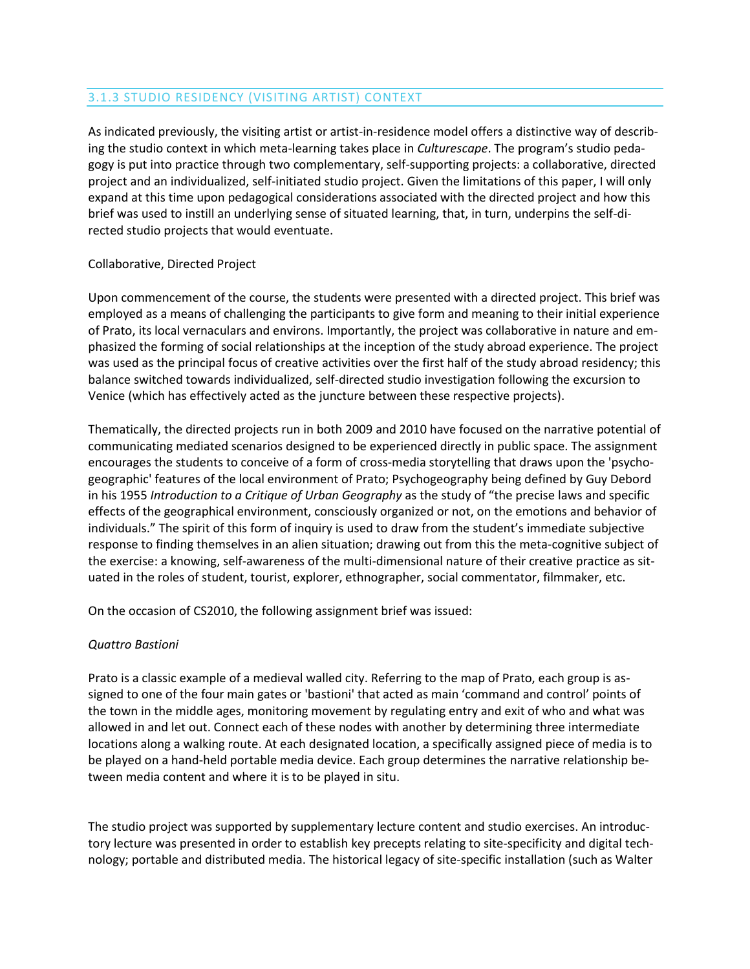# 3.1.3 STUDIO RESIDENCY (VISITING ARTIST) CONTEXT

As indicated previously, the visiting artist or artist-in-residence model offers a distinctive way of describing the studio context in which meta-learning takes place in *Culturescape*. The program's studio pedagogy is put into practice through two complementary, self-supporting projects: a collaborative, directed project and an individualized, self-initiated studio project. Given the limitations of this paper, I will only expand at this time upon pedagogical considerations associated with the directed project and how this brief was used to instill an underlying sense of situated learning, that, in turn, underpins the self-directed studio projects that would eventuate.

## Collaborative, Directed Project

Upon commencement of the course, the students were presented with a directed project. This brief was employed as a means of challenging the participants to give form and meaning to their initial experience of Prato, its local vernaculars and environs. Importantly, the project was collaborative in nature and emphasized the forming of social relationships at the inception of the study abroad experience. The project was used as the principal focus of creative activities over the first half of the study abroad residency; this balance switched towards individualized, self-directed studio investigation following the excursion to Venice (which has effectively acted as the juncture between these respective projects).

Thematically, the directed projects run in both 2009 and 2010 have focused on the narrative potential of communicating mediated scenarios designed to be experienced directly in public space. The assignment encourages the students to conceive of a form of cross-media storytelling that draws upon the 'psychogeographic' features of the local environment of Prato; Psychogeography being defined by Guy Debord in his 1955 *Introduction to a Critique of Urban Geography* as the study of "the precise laws and specific effects of the geographical environment, consciously organized or not, on the emotions and behavior of individuals." The spirit of this form of inquiry is used to draw from the student's immediate subjective response to finding themselves in an alien situation; drawing out from this the meta-cognitive subject of the exercise: a knowing, self-awareness of the multi-dimensional nature of their creative practice as situated in the roles of student, tourist, explorer, ethnographer, social commentator, filmmaker, etc.

On the occasion of CS2010, the following assignment brief was issued:

## *Quattro Bastioni*

Prato is a classic example of a medieval walled city. Referring to the map of Prato, each group is assigned to one of the four main gates or 'bastioni' that acted as main 'command and control' points of the town in the middle ages, monitoring movement by regulating entry and exit of who and what was allowed in and let out. Connect each of these nodes with another by determining three intermediate locations along a walking route. At each designated location, a specifically assigned piece of media is to be played on a hand-held portable media device. Each group determines the narrative relationship between media content and where it is to be played in situ.

The studio project was supported by supplementary lecture content and studio exercises. An introductory lecture was presented in order to establish key precepts relating to site-specificity and digital technology; portable and distributed media. The historical legacy of site-specific installation (such as Walter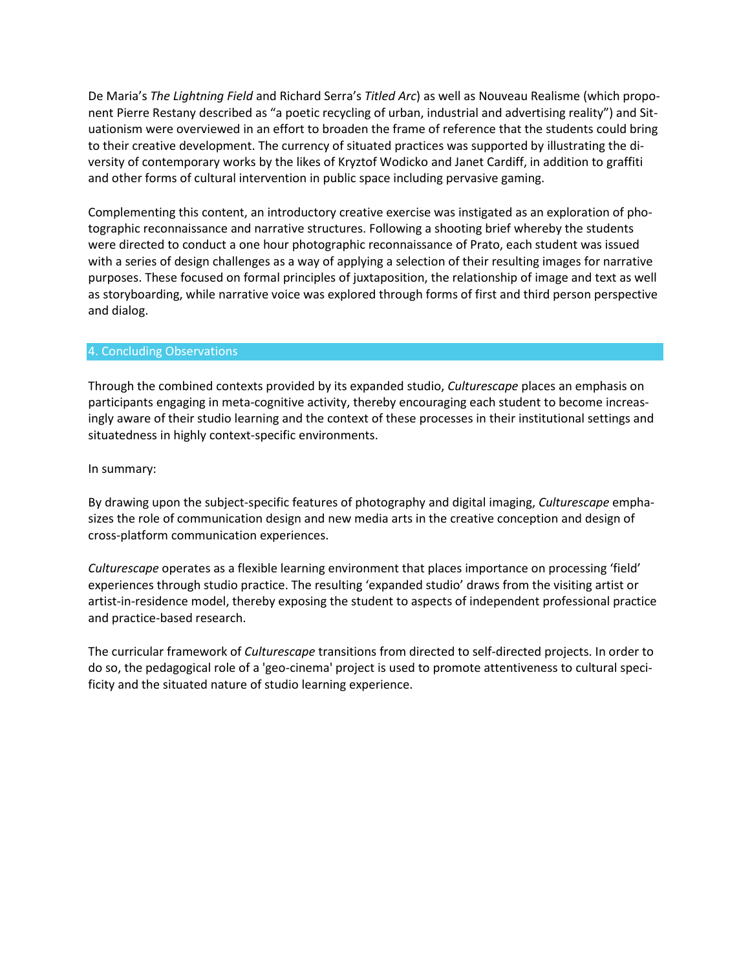De Maria's *The Lightning Field* and Richard Serra's *Titled Arc*) as well as Nouveau Realisme (which proponent Pierre Restany described as "a poetic recycling of urban, industrial and advertising reality") and Situationism were overviewed in an effort to broaden the frame of reference that the students could bring to their creative development. The currency of situated practices was supported by illustrating the diversity of contemporary works by the likes of Kryztof Wodicko and Janet Cardiff, in addition to graffiti and other forms of cultural intervention in public space including pervasive gaming.

Complementing this content, an introductory creative exercise was instigated as an exploration of photographic reconnaissance and narrative structures. Following a shooting brief whereby the students were directed to conduct a one hour photographic reconnaissance of Prato, each student was issued with a series of design challenges as a way of applying a selection of their resulting images for narrative purposes. These focused on formal principles of juxtaposition, the relationship of image and text as well as storyboarding, while narrative voice was explored through forms of first and third person perspective and dialog.

## 4. Concluding Observations

Through the combined contexts provided by its expanded studio, *Culturescape* places an emphasis on participants engaging in meta-cognitive activity, thereby encouraging each student to become increasingly aware of their studio learning and the context of these processes in their institutional settings and situatedness in highly context-specific environments.

In summary:

By drawing upon the subject-specific features of photography and digital imaging, *Culturescape* emphasizes the role of communication design and new media arts in the creative conception and design of cross-platform communication experiences.

*Culturescape* operates as a flexible learning environment that places importance on processing 'field' experiences through studio practice. The resulting 'expanded studio' draws from the visiting artist or artist-in-residence model, thereby exposing the student to aspects of independent professional practice and practice-based research.

The curricular framework of *Culturescape* transitions from directed to self-directed projects. In order to do so, the pedagogical role of a 'geo-cinema' project is used to promote attentiveness to cultural specificity and the situated nature of studio learning experience.